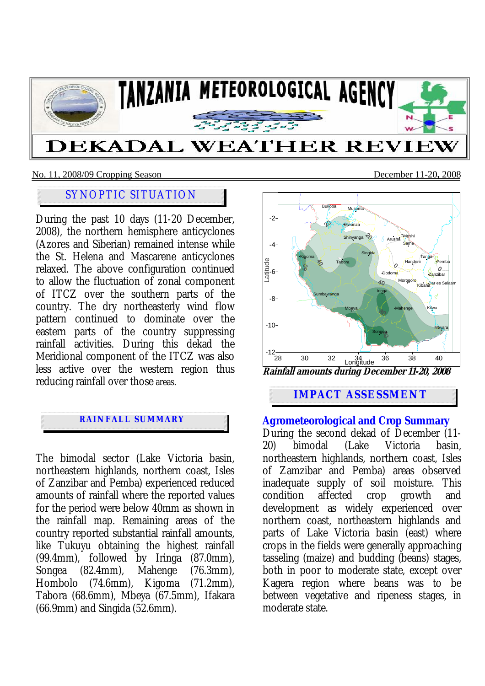

#### No. 11, 2008/09 Cropping Season December 11-20**,** 2008

# SYNOPTIC SITUATION

During the past 10 days (11-20 December, 2008), the northern hemisphere anticyclones (Azores and Siberian) remained intense while the St. Helena and Mascarene anticyclones relaxed. The above configuration continued to allow the fluctuation of zonal component of ITCZ over the southern parts of the country. The dry northeasterly wind flow pattern continued to dominate over the eastern parts of the country suppressing rainfall activities. During this dekad the Meridional component of the ITCZ was also less active over the western region thus reducing rainfall over those areas.

## **RAINFALL SUMMARY**

The bimodal sector (Lake Victoria basin, northeastern highlands, northern coast, Isles of Zanzibar and Pemba) experienced reduced amounts of rainfall where the reported values for the period were below 40mm as shown in the rainfall map. Remaining areas of the country reported substantial rainfall amounts, like Tukuyu obtaining the highest rainfall (99.4mm), followed by Iringa (87.0mm), Songea (82.4mm), Mahenge (76.3mm), Hombolo (74.6mm), Kigoma (71.2mm), Tabora (68.6mm), Mbeya (67.5mm), Ifakara (66.9mm) and Singida (52.6mm).



# **IMPACT ASSESSMENT**

## **Agrometeorological and Crop Summary**

During the second dekad of December (11- 20) bimodal (Lake Victoria basin, northeastern highlands, northern coast, Isles of Zamzibar and Pemba) areas observed inadequate supply of soil moisture. This condition affected crop growth and development as widely experienced over northern coast, northeastern highlands and parts of Lake Victoria basin (east) where crops in the fields were generally approaching tasseling (maize) and budding (beans) stages, both in poor to moderate state, except over Kagera region where beans was to be between vegetative and ripeness stages, in moderate state.